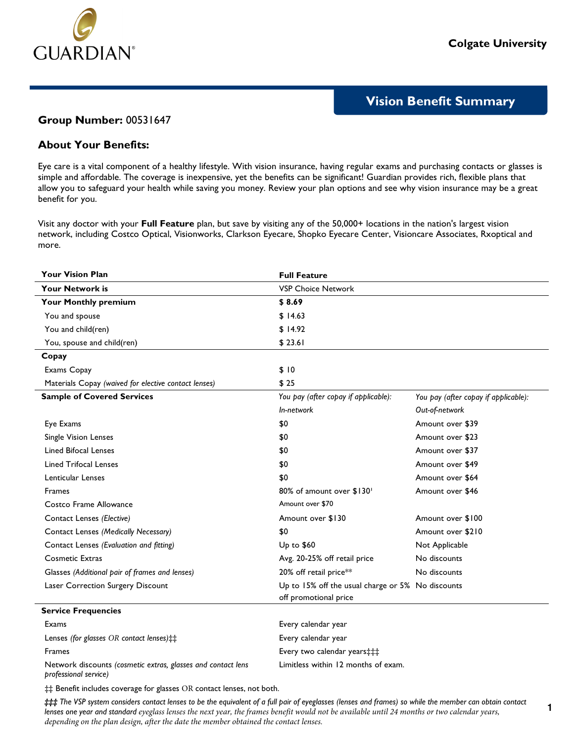

**1**

# **Vision Benefit Summary**

### **Group Number:** 00531647

## **About Your Benefits:**

Eye care is a vital component of a healthy lifestyle. With vision insurance, having regular exams and purchasing contacts or glasses is simple and affordable. The coverage is inexpensive, yet the benefits can be significant! Guardian provides rich, flexible plans that allow you to safeguard your health while saving you money. Review your plan options and see why vision insurance may be a great benefit for you.

Visit any doctor with your **Full Feature** plan, but save by visiting any of the 50,000+ locations in the nation's largest vision network, including Costco Optical, Visionworks, Clarkson Eyecare, Shopko Eyecare Center, Visioncare Associates, Rxoptical and more.

| <b>Your Vision Plan</b>                                                               | <b>Full Feature</b>                               |                                      |
|---------------------------------------------------------------------------------------|---------------------------------------------------|--------------------------------------|
| <b>Your Network is</b>                                                                | <b>VSP Choice Network</b>                         |                                      |
| Your Monthly premium                                                                  | \$8.69                                            |                                      |
| You and spouse                                                                        | \$14.63                                           |                                      |
| You and child(ren)                                                                    | \$14.92                                           |                                      |
| You, spouse and child(ren)                                                            | \$23.61                                           |                                      |
| Copay                                                                                 |                                                   |                                      |
| Exams Copay                                                                           | \$10                                              |                                      |
| Materials Copay (waived for elective contact lenses)                                  | \$25                                              |                                      |
| <b>Sample of Covered Services</b>                                                     | You pay (after copay if applicable):              | You pay (after copay if applicable): |
|                                                                                       | In-network                                        | Out-of-network                       |
| Eye Exams                                                                             | \$0                                               | Amount over \$39                     |
| Single Vision Lenses                                                                  | \$0                                               | Amount over \$23                     |
| <b>Lined Bifocal Lenses</b>                                                           | \$0                                               | Amount over \$37                     |
| <b>Lined Trifocal Lenses</b>                                                          | \$0                                               | Amount over \$49                     |
| Lenticular Lenses                                                                     | \$0                                               | Amount over \$64                     |
| <b>Frames</b>                                                                         | 80% of amount over \$130'                         | Amount over \$46                     |
| Costco Frame Allowance                                                                | Amount over \$70                                  |                                      |
| Contact Lenses (Elective)                                                             | Amount over \$130                                 | Amount over \$100                    |
| Contact Lenses (Medically Necessary)                                                  | \$0                                               | Amount over \$210                    |
| Contact Lenses (Evaluation and fitting)                                               | Up to \$60                                        | Not Applicable                       |
| <b>Cosmetic Extras</b>                                                                | Avg. 20-25% off retail price                      | No discounts                         |
| Glasses (Additional pair of frames and lenses)                                        | 20% off retail price**                            | No discounts                         |
| Laser Correction Surgery Discount                                                     | Up to 15% off the usual charge or 5% No discounts |                                      |
|                                                                                       | off promotional price                             |                                      |
| <b>Service Frequencies</b>                                                            |                                                   |                                      |
| Exams                                                                                 | Every calendar year                               |                                      |
| Lenses (for glasses OR contact lenses) ::                                             | Every calendar year                               |                                      |
| <b>Frames</b>                                                                         | Every two calendar years: #                       |                                      |
| Network discounts (cosmetic extras, glasses and contact lens<br>professional service) | Limitless within 12 months of exam.               |                                      |

‡‡ Benefit includes coverage for glasses OR contact lenses, not both.

### The VSP system considers contact lenses to be the equivalent of a full pair of eyeglasses (lenses and frames) so while the member can obtain contact *lenses one year and standard eyeglass lenses the next year, the frames benefit would not be available until 24 months or two calendar years, depending on the plan design, after the date the member obtained the contact lenses.*